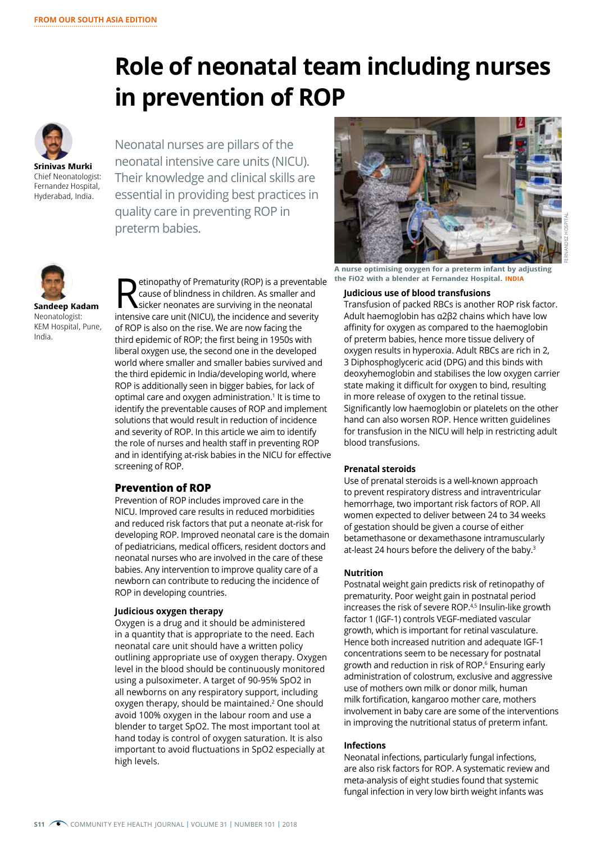# **Role of neonatal team including nurses in prevention of ROP**

**Srinivas Murki** Chief Neonatologist: Fernandez Hospital, Hyderabad, India.

Neonatal nurses are pillars of the neonatal intensive care units (NICU). Their knowledge and clinical skills are essential in providing best practices in quality care in preventing ROP in preterm babies.



**Sandeep Kadam** Neonatologist: KEM Hospital, Pune, India.

**Retinopathy of Prematurity (ROP) is a preventable**<br>cause of blindness in children. As smaller and<br>sicker neonates are surviving in the neonatal<br>intensive same unit (NICL), the insidence and sourcity cause of blindness in children. As smaller and sicker neonates are surviving in the neonatal intensive care unit (NICU), the incidence and severity of ROP is also on the rise. We are now facing the third epidemic of ROP; the first being in 1950s with liberal oxygen use, the second one in the developed world where smaller and smaller babies survived and the third epidemic in India/developing world, where ROP is additionally seen in bigger babies, for lack of optimal care and oxygen administration.1 It is time to identify the preventable causes of ROP and implement solutions that would result in reduction of incidence and severity of ROP. In this article we aim to identify the role of nurses and health staff in preventing ROP and in identifying at-risk babies in the NICU for effective screening of ROP.

### **Prevention of ROP**

Prevention of ROP includes improved care in the NICU. Improved care results in reduced morbidities and reduced risk factors that put a neonate at-risk for developing ROP. Improved neonatal care is the domain of pediatricians, medical officers, resident doctors and neonatal nurses who are involved in the care of these babies. Any intervention to improve quality care of a newborn can contribute to reducing the incidence of ROP in developing countries.

#### **Judicious oxygen therapy**

Oxygen is a drug and it should be administered in a quantity that is appropriate to the need. Each neonatal care unit should have a written policy outlining appropriate use of oxygen therapy. Oxygen level in the blood should be continuously monitored using a pulsoximeter. A target of 90-95% SpO2 in all newborns on any respiratory support, including oxygen therapy, should be maintained.<sup>2</sup> One should avoid 100% oxygen in the labour room and use a blender to target SpO2. The most important tool at hand today is control of oxygen saturation. It is also important to avoid fluctuations in SpO2 especially at high levels.



**A nurse optimising oxygen for a preterm infant by adjusting the FiO2 with a blender at Fernandez Hospital. INDIA**

#### **Judicious use of blood transfusions**

Transfusion of packed RBCs is another ROP risk factor. Adult haemoglobin has α2β2 chains which have low affinity for oxygen as compared to the haemoglobin of preterm babies, hence more tissue delivery of oxygen results in hyperoxia. Adult RBCs are rich in 2, 3 Diphosphoglyceric acid (DPG) and this binds with deoxyhemoglobin and stabilises the low oxygen carrier state making it difficult for oxygen to bind, resulting in more release of oxygen to the retinal tissue. Significantly low haemoglobin or platelets on the other hand can also worsen ROP. Hence written guidelines for transfusion in the NICU will help in restricting adult blood transfusions.

#### **Prenatal steroids**

Use of prenatal steroids is a well-known approach to prevent respiratory distress and intraventricular hemorrhage, two important risk factors of ROP. All women expected to deliver between 24 to 34 weeks of gestation should be given a course of either betamethasone or dexamethasone intramuscularly at-least 24 hours before the delivery of the baby.3

#### **Nutrition**

Postnatal weight gain predicts risk of retinopathy of prematurity. Poor weight gain in postnatal period increases the risk of severe ROP.4,5 Insulin-like growth factor 1 (IGF-1) controls VEGF-mediated vascular growth, which is important for retinal vasculature. Hence both increased nutrition and adequate IGF-1 concentrations seem to be necessary for postnatal growth and reduction in risk of ROP.6 Ensuring early administration of colostrum, exclusive and aggressive use of mothers own milk or donor milk, human milk fortification, kangaroo mother care, mothers involvement in baby care are some of the interventions in improving the nutritional status of preterm infant.

#### **Infections**

Neonatal infections, particularly fungal infections, are also risk factors for ROP. A systematic review and meta-analysis of eight studies found that systemic fungal infection in very low birth weight infants was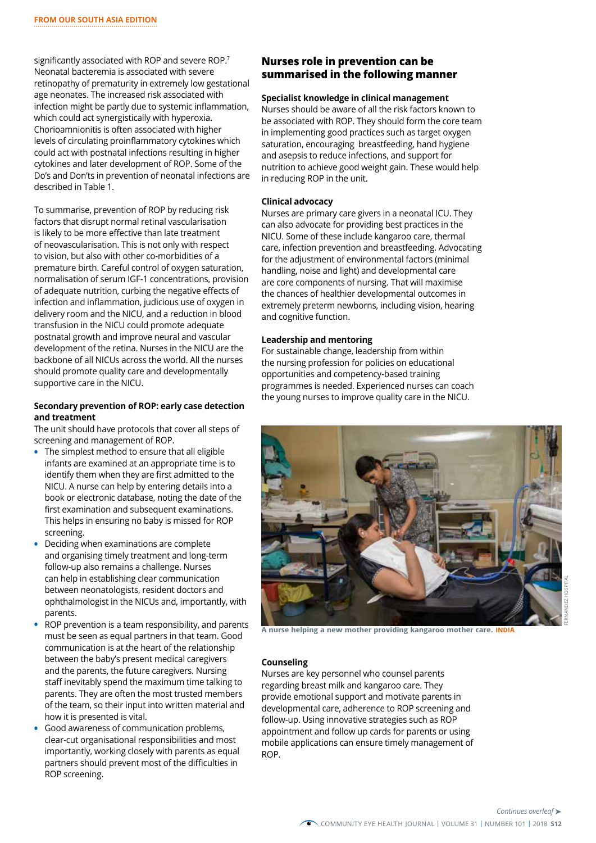significantly associated with ROP and severe ROP.<sup>7</sup> Neonatal bacteremia is associated with severe retinopathy of prematurity in extremely low gestational age neonates. The increased risk associated with infection might be partly due to systemic inflammation, which could act synergistically with hyperoxia. Chorioamnionitis is often associated with higher levels of circulating proinflammatory cytokines which could act with postnatal infections resulting in higher cytokines and later development of ROP. Some of the Do's and Don'ts in prevention of neonatal infections are described in Table 1.

To summarise, prevention of ROP by reducing risk factors that disrupt normal retinal vascularisation is likely to be more effective than late treatment of neovascularisation. This is not only with respect to vision, but also with other co-morbidities of a premature birth. Careful control of oxygen saturation, normalisation of serum IGF-1 concentrations, provision of adequate nutrition, curbing the negative effects of infection and inflammation, judicious use of oxygen in delivery room and the NICU, and a reduction in blood transfusion in the NICU could promote adequate postnatal growth and improve neural and vascular development of the retina. Nurses in the NICU are the backbone of all NICUs across the world. All the nurses should promote quality care and developmentally supportive care in the NICU.

#### **Secondary prevention of ROP: early case detection and treatment**

The unit should have protocols that cover all steps of screening and management of ROP.

- **•** The simplest method to ensure that all eligible infants are examined at an appropriate time is to identify them when they are first admitted to the NICU. A nurse can help by entering details into a book or electronic database, noting the date of the first examination and subsequent examinations. This helps in ensuring no baby is missed for ROP screening.
- **•** Deciding when examinations are complete and organising timely treatment and long-term follow-up also remains a challenge. Nurses can help in establishing clear communication between neonatologists, resident doctors and ophthalmologist in the NICUs and, importantly, with parents.
- **•** ROP prevention is a team responsibility, and parents must be seen as equal partners in that team. Good communication is at the heart of the relationship between the baby's present medical caregivers and the parents, the future caregivers. Nursing staff inevitably spend the maximum time talking to parents. They are often the most trusted members of the team, so their input into written material and how it is presented is vital.
- **•** Good awareness of communication problems, clear-cut organisational responsibilities and most importantly, working closely with parents as equal partners should prevent most of the difficulties in ROP screening.

## **Nurses role in prevention can be summarised in the following manner**

#### **Specialist knowledge in clinical management**

Nurses should be aware of all the risk factors known to be associated with ROP. They should form the core team in implementing good practices such as target oxygen saturation, encouraging breastfeeding, hand hygiene and asepsis to reduce infections, and support for nutrition to achieve good weight gain. These would help in reducing ROP in the unit.

#### **Clinical advocacy**

Nurses are primary care givers in a neonatal ICU. They can also advocate for providing best practices in the NICU. Some of these include kangaroo care, thermal care, infection prevention and breastfeeding. Advocating for the adjustment of environmental factors (minimal handling, noise and light) and developmental care are core components of nursing. That will maximise the chances of healthier developmental outcomes in extremely preterm newborns, including vision, hearing and cognitive function.

#### **Leadership and mentoring**

For sustainable change, leadership from within the nursing profession for policies on educational opportunities and competency-based training programmes is needed. Experienced nurses can coach the young nurses to improve quality care in the NICU.



FERNANDEZ HOSPITAL

**A nurse helping a new mother providing kangaroo mother care. INDIA**

#### **Counseling**

Nurses are key personnel who counsel parents regarding breast milk and kangaroo care. They provide emotional support and motivate parents in developmental care, adherence to ROP screening and follow-up. Using innovative strategies such as ROP appointment and follow up cards for parents or using mobile applications can ensure timely management of ROP.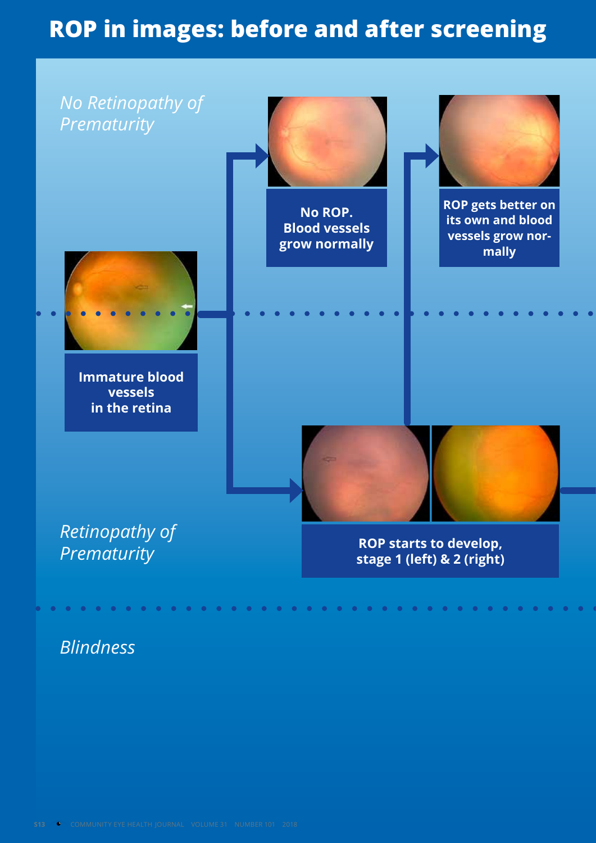## **ROP in images: before and after screening**



*Blindness*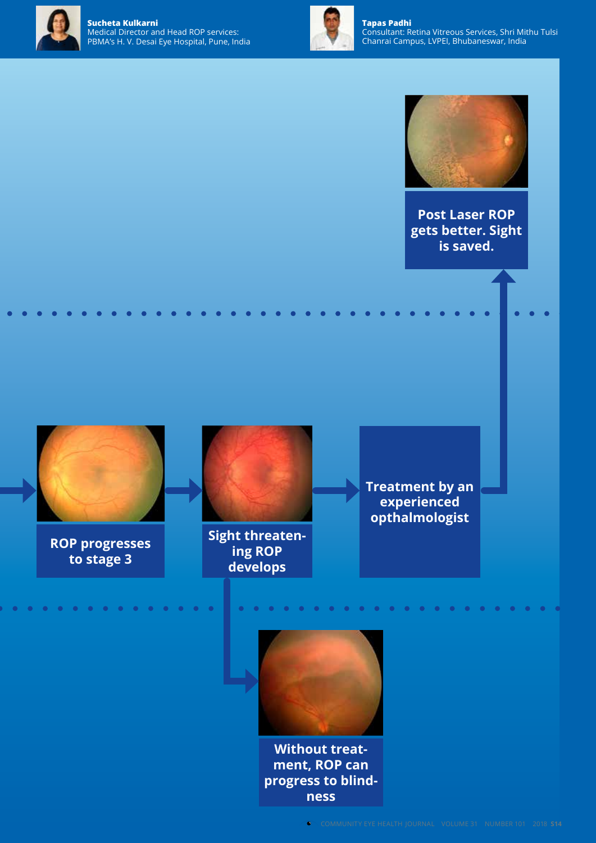



**Tapas Padhi** Consultant: Retina Vitreous Services, Shri Mithu Tulsi Chanrai Campus, LVPEI, Bhubaneswar, India



**Post Laser ROP gets better. Sight is saved.**



**ROP progresses to stage 3**



**Sight threatening ROP develops**

 $\begin{array}{ccccccccccccc} \bullet & \bullet & \bullet & \bullet & \bullet \end{array}$ 

 $\begin{array}{ccc} \bullet & \bullet & \bullet \end{array}$ 

**Treatment by an experienced opthalmologist**

 $\bullet$ 

**COMMENT** 

. . . . . . . . . . . . . . . .



**Without treatment, ROP can progress to blindness**